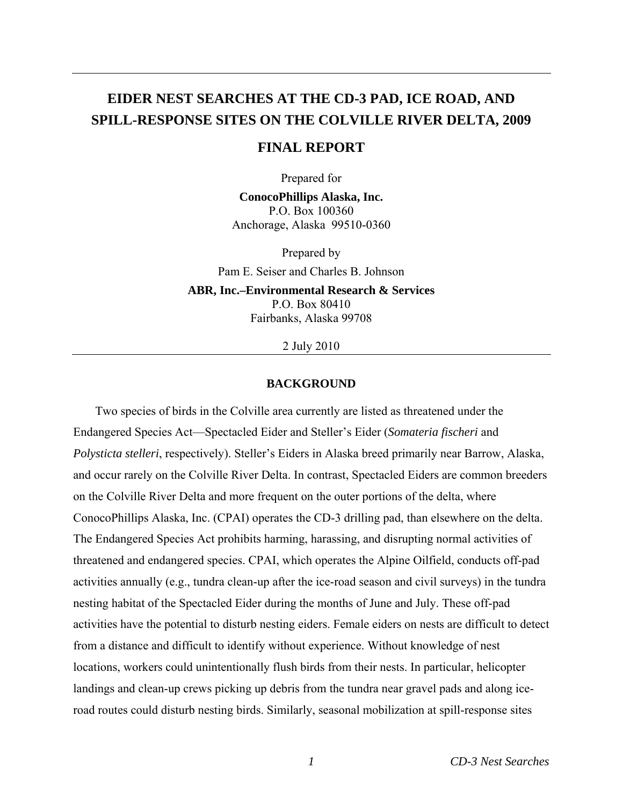# **EIDER NEST SEARCHES AT THE CD-3 PAD, ICE ROAD, AND SPILL-RESPONSE SITES ON THE COLVILLE RIVER DELTA, 2009**

# **FINAL REPORT**

Prepared for

**ConocoPhillips Alaska, Inc.**  P.O. Box 100360 Anchorage, Alaska 99510-0360

Prepared by Pam E. Seiser and Charles B. Johnson **ABR, Inc.–Environmental Research & Services**  P.O. Box 80410 Fairbanks, Alaska 99708

2 July 2010

## **BACKGROUND**

Two species of birds in the Colville area currently are listed as threatened under the Endangered Species Act—Spectacled Eider and Steller's Eider (*Somateria fischeri* and *Polysticta stelleri*, respectively). Steller's Eiders in Alaska breed primarily near Barrow, Alaska, and occur rarely on the Colville River Delta. In contrast, Spectacled Eiders are common breeders on the Colville River Delta and more frequent on the outer portions of the delta, where ConocoPhillips Alaska, Inc. (CPAI) operates the CD-3 drilling pad, than elsewhere on the delta. The Endangered Species Act prohibits harming, harassing, and disrupting normal activities of threatened and endangered species. CPAI, which operates the Alpine Oilfield, conducts off-pad activities annually (e.g., tundra clean-up after the ice-road season and civil surveys) in the tundra nesting habitat of the Spectacled Eider during the months of June and July. These off-pad activities have the potential to disturb nesting eiders. Female eiders on nests are difficult to detect from a distance and difficult to identify without experience. Without knowledge of nest locations, workers could unintentionally flush birds from their nests. In particular, helicopter landings and clean-up crews picking up debris from the tundra near gravel pads and along iceroad routes could disturb nesting birds. Similarly, seasonal mobilization at spill-response sites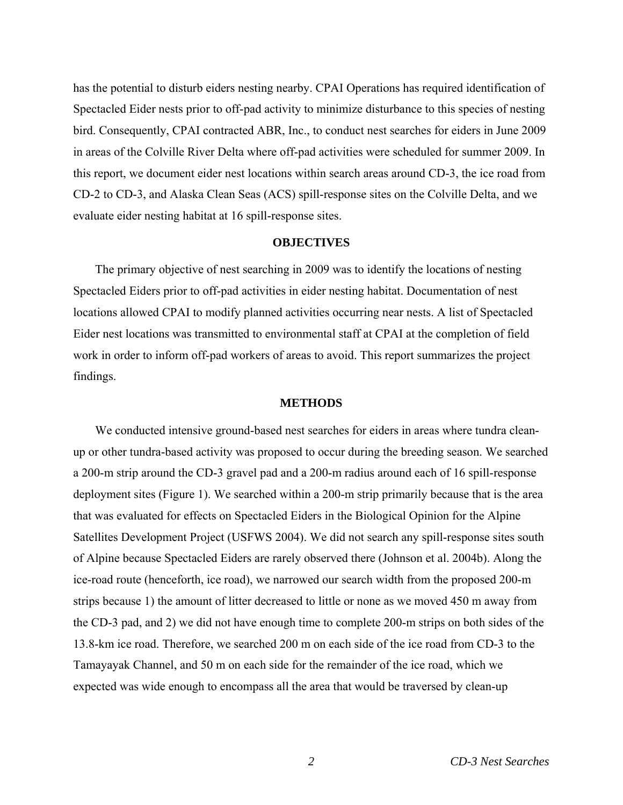has the potential to disturb eiders nesting nearby. CPAI Operations has required identification of Spectacled Eider nests prior to off-pad activity to minimize disturbance to this species of nesting bird. Consequently, CPAI contracted ABR, Inc., to conduct nest searches for eiders in June 2009 in areas of the Colville River Delta where off-pad activities were scheduled for summer 2009. In this report, we document eider nest locations within search areas around CD-3, the ice road from CD-2 to CD-3, and Alaska Clean Seas (ACS) spill-response sites on the Colville Delta, and we evaluate eider nesting habitat at 16 spill-response sites.

## **OBJECTIVES**

The primary objective of nest searching in 2009 was to identify the locations of nesting Spectacled Eiders prior to off-pad activities in eider nesting habitat. Documentation of nest locations allowed CPAI to modify planned activities occurring near nests. A list of Spectacled Eider nest locations was transmitted to environmental staff at CPAI at the completion of field work in order to inform off-pad workers of areas to avoid. This report summarizes the project findings.

#### **METHODS**

We conducted intensive ground-based nest searches for eiders in areas where tundra cleanup or other tundra-based activity was proposed to occur during the breeding season. We searched a 200-m strip around the CD-3 gravel pad and a 200-m radius around each of 16 spill-response deployment sites (Figure 1). We searched within a 200-m strip primarily because that is the area that was evaluated for effects on Spectacled Eiders in the Biological Opinion for the Alpine Satellites Development Project (USFWS 2004). We did not search any spill-response sites south of Alpine because Spectacled Eiders are rarely observed there (Johnson et al. 2004b). Along the ice-road route (henceforth, ice road), we narrowed our search width from the proposed 200-m strips because 1) the amount of litter decreased to little or none as we moved 450 m away from the CD-3 pad, and 2) we did not have enough time to complete 200-m strips on both sides of the 13.8-km ice road. Therefore, we searched 200 m on each side of the ice road from CD-3 to the Tamayayak Channel, and 50 m on each side for the remainder of the ice road, which we expected was wide enough to encompass all the area that would be traversed by clean-up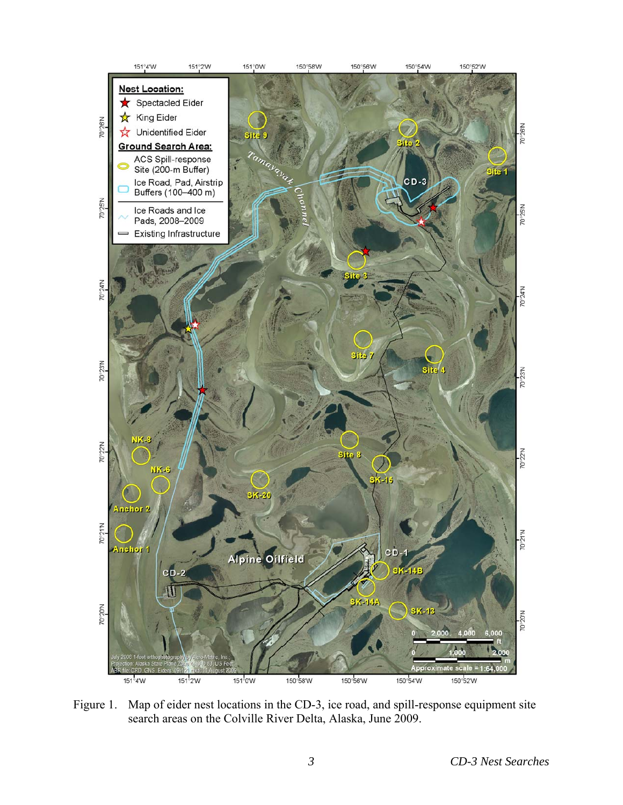

Figure 1. Map of eider nest locations in the CD-3, ice road, and spill-response equipment site search areas on the Colville River Delta, Alaska, June 2009.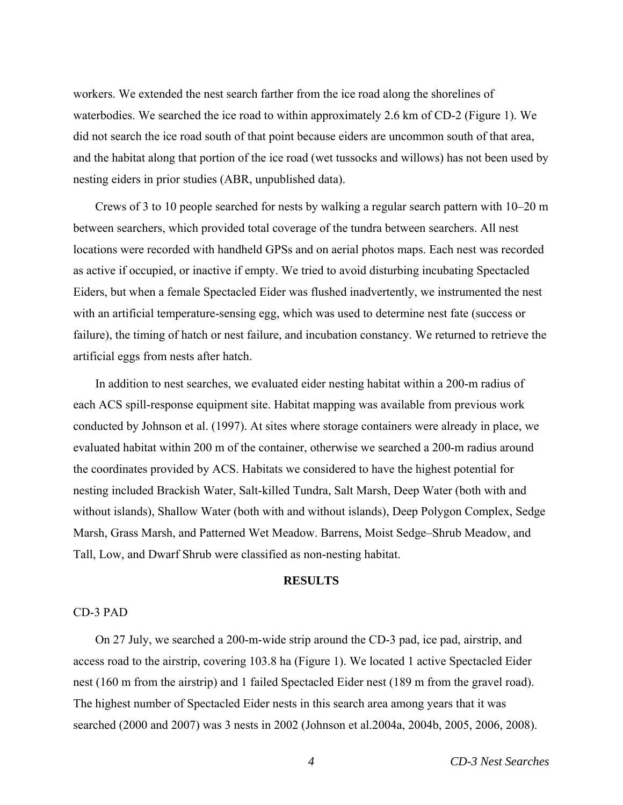workers. We extended the nest search farther from the ice road along the shorelines of waterbodies. We searched the ice road to within approximately 2.6 km of CD-2 (Figure 1). We did not search the ice road south of that point because eiders are uncommon south of that area, and the habitat along that portion of the ice road (wet tussocks and willows) has not been used by nesting eiders in prior studies (ABR, unpublished data).

Crews of 3 to 10 people searched for nests by walking a regular search pattern with 10–20 m between searchers, which provided total coverage of the tundra between searchers. All nest locations were recorded with handheld GPSs and on aerial photos maps. Each nest was recorded as active if occupied, or inactive if empty. We tried to avoid disturbing incubating Spectacled Eiders, but when a female Spectacled Eider was flushed inadvertently, we instrumented the nest with an artificial temperature-sensing egg, which was used to determine nest fate (success or failure), the timing of hatch or nest failure, and incubation constancy. We returned to retrieve the artificial eggs from nests after hatch.

In addition to nest searches, we evaluated eider nesting habitat within a 200-m radius of each ACS spill-response equipment site. Habitat mapping was available from previous work conducted by Johnson et al. (1997). At sites where storage containers were already in place, we evaluated habitat within 200 m of the container, otherwise we searched a 200-m radius around the coordinates provided by ACS. Habitats we considered to have the highest potential for nesting included Brackish Water, Salt-killed Tundra, Salt Marsh, Deep Water (both with and without islands), Shallow Water (both with and without islands), Deep Polygon Complex, Sedge Marsh, Grass Marsh, and Patterned Wet Meadow. Barrens, Moist Sedge–Shrub Meadow, and Tall, Low, and Dwarf Shrub were classified as non-nesting habitat.

## **RESULTS**

#### CD-3 PAD

On 27 July, we searched a 200-m-wide strip around the CD-3 pad, ice pad, airstrip, and access road to the airstrip, covering 103.8 ha (Figure 1). We located 1 active Spectacled Eider nest (160 m from the airstrip) and 1 failed Spectacled Eider nest (189 m from the gravel road). The highest number of Spectacled Eider nests in this search area among years that it was searched (2000 and 2007) was 3 nests in 2002 (Johnson et al.2004a, 2004b, 2005, 2006, 2008).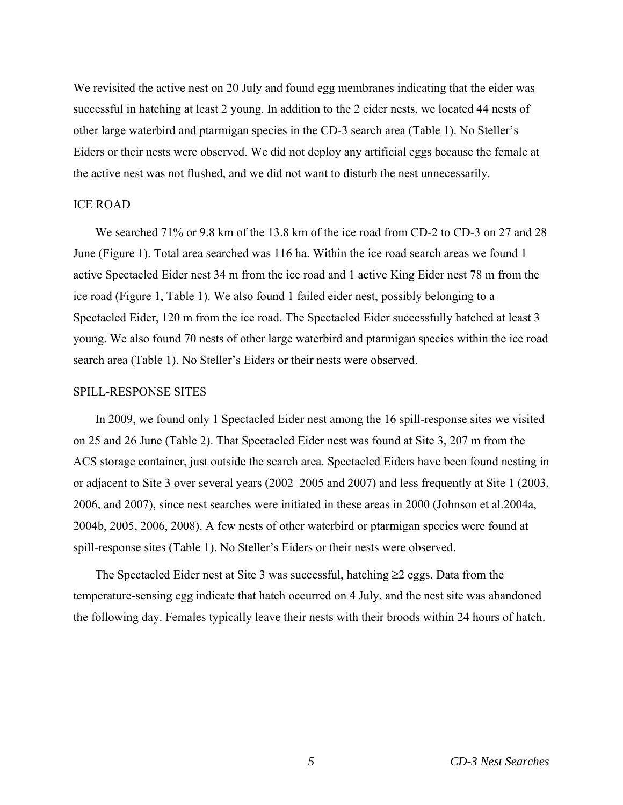We revisited the active nest on 20 July and found egg membranes indicating that the eider was successful in hatching at least 2 young. In addition to the 2 eider nests, we located 44 nests of other large waterbird and ptarmigan species in the CD-3 search area (Table 1). No Steller's Eiders or their nests were observed. We did not deploy any artificial eggs because the female at the active nest was not flushed, and we did not want to disturb the nest unnecessarily.

## ICE ROAD

We searched 71% or 9.8 km of the 13.8 km of the ice road from CD-2 to CD-3 on 27 and 28 June (Figure 1). Total area searched was 116 ha. Within the ice road search areas we found 1 active Spectacled Eider nest 34 m from the ice road and 1 active King Eider nest 78 m from the ice road (Figure 1, Table 1). We also found 1 failed eider nest, possibly belonging to a Spectacled Eider, 120 m from the ice road. The Spectacled Eider successfully hatched at least 3 young. We also found 70 nests of other large waterbird and ptarmigan species within the ice road search area (Table 1). No Steller's Eiders or their nests were observed.

## SPILL-RESPONSE SITES

In 2009, we found only 1 Spectacled Eider nest among the 16 spill-response sites we visited on 25 and 26 June (Table 2). That Spectacled Eider nest was found at Site 3, 207 m from the ACS storage container, just outside the search area. Spectacled Eiders have been found nesting in or adjacent to Site 3 over several years (2002–2005 and 2007) and less frequently at Site 1 (2003, 2006, and 2007), since nest searches were initiated in these areas in 2000 (Johnson et al.2004a, 2004b, 2005, 2006, 2008). A few nests of other waterbird or ptarmigan species were found at spill-response sites (Table 1). No Steller's Eiders or their nests were observed.

The Spectacled Eider nest at Site 3 was successful, hatching  $\geq 2$  eggs. Data from the temperature-sensing egg indicate that hatch occurred on 4 July, and the nest site was abandoned the following day. Females typically leave their nests with their broods within 24 hours of hatch.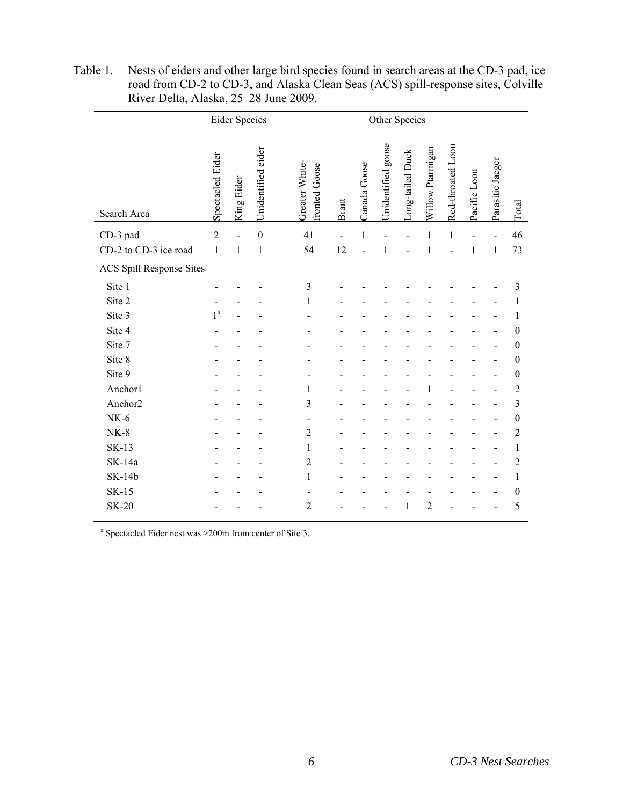|                                 | <b>Eider Species</b> |            |                    |  | Other Species                      |       |              |                    |                  |                  |                   |              |                  |                  |
|---------------------------------|----------------------|------------|--------------------|--|------------------------------------|-------|--------------|--------------------|------------------|------------------|-------------------|--------------|------------------|------------------|
| Search Area                     | Spectacled Eider     | King Eider | Unidentified eider |  | Greater White-<br>Goose<br>fronted | Brant | Canada Goose | Unidentified goose | Long-tailed Duck | Willow Ptarmigan | Red-throated Loon | Pacific Loon | Parasitic Jaeger | Total            |
| CD-3 pad                        | $\overline{2}$       |            | $\mathbf{0}$       |  | 41                                 |       | $\mathbf{1}$ |                    |                  | 1                | 1                 |              |                  | 46               |
| CD-2 to CD-3 ice road           | 1                    | 1          | 1                  |  | 54                                 | 12    |              | 1                  |                  | 1                |                   | 1            | 1                | 73               |
| <b>ACS Spill Response Sites</b> |                      |            |                    |  |                                    |       |              |                    |                  |                  |                   |              |                  |                  |
| Site 1                          |                      |            |                    |  | 3                                  |       |              |                    |                  |                  |                   |              |                  | 3                |
| Site 2                          |                      |            |                    |  | 1                                  |       |              |                    |                  |                  |                   |              |                  | 1                |
| Site 3                          | $1^{\mathrm{a}}$     |            |                    |  |                                    |       |              |                    |                  |                  |                   |              |                  | 1                |
| Site 4                          |                      |            |                    |  |                                    |       |              |                    |                  |                  |                   |              |                  | $\theta$         |
| Site 7                          |                      |            |                    |  |                                    |       |              |                    |                  |                  |                   |              |                  | $\theta$         |
| Site 8                          |                      |            |                    |  |                                    |       |              |                    |                  |                  |                   |              |                  | $\theta$         |
| Site 9                          |                      |            |                    |  |                                    |       |              |                    |                  |                  |                   |              |                  | $\boldsymbol{0}$ |
| Anchor1                         |                      |            |                    |  | 1                                  |       |              |                    |                  |                  |                   |              |                  | 2                |
| Anchor2                         |                      |            |                    |  | 3                                  |       |              |                    |                  |                  |                   |              |                  | 3                |
| $NK-6$                          |                      |            |                    |  |                                    |       |              |                    |                  |                  |                   |              |                  | $\boldsymbol{0}$ |
| $NK-8$                          |                      |            |                    |  | 2                                  |       |              |                    |                  |                  |                   |              |                  | $\overline{c}$   |
| <b>SK-13</b>                    |                      |            |                    |  | 1                                  |       |              |                    |                  |                  |                   |              |                  | 1                |
| SK-14a                          |                      |            |                    |  | $\overline{2}$                     |       |              |                    |                  |                  |                   |              |                  | $\overline{2}$   |
| <b>SK-14b</b>                   |                      |            |                    |  | 1                                  |       |              |                    |                  |                  |                   |              |                  | 1                |
| <b>SK-15</b>                    |                      |            |                    |  |                                    |       |              |                    |                  |                  |                   |              |                  | 0                |
| <b>SK-20</b>                    |                      |            |                    |  | $\overline{2}$                     |       |              |                    | $\mathbf{1}$     | $\overline{c}$   |                   |              |                  | 5                |

Table 1. Nests of eiders and other large bird species found in search areas at the CD-3 pad, ice road from CD-2 to CD-3, and Alaska Clean Seas (ACS) spill-response sites, Colville River Delta, Alaska, 25–28 June 2009.

a Spectacled Eider nest was >200m from center of Site 3.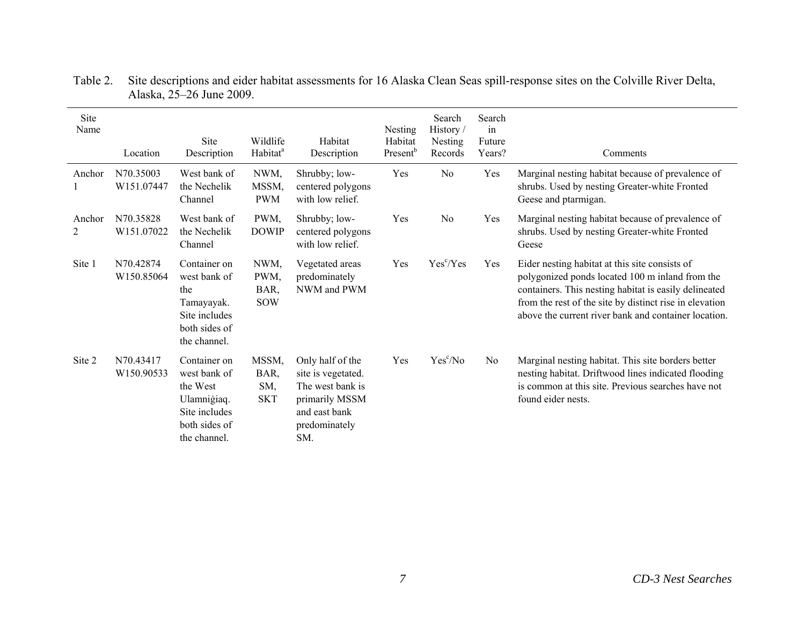| Site<br>Name | Location                | Site<br>Description                                                                                       | Wildlife<br>Habitat <sup>a</sup>   | Habitat<br>Description                                                                                                | <b>Nesting</b><br>Habitat<br>Present <sup>b</sup> | Search<br>History/<br>Nesting<br>Records | Search<br>in<br>Future<br>Years? | Comments                                                                                                                                                                                                                                                                      |
|--------------|-------------------------|-----------------------------------------------------------------------------------------------------------|------------------------------------|-----------------------------------------------------------------------------------------------------------------------|---------------------------------------------------|------------------------------------------|----------------------------------|-------------------------------------------------------------------------------------------------------------------------------------------------------------------------------------------------------------------------------------------------------------------------------|
| Anchor       | N70.35003<br>W151.07447 | West bank of<br>the Nechelik<br>Channel                                                                   | NWM,<br>MSSM,<br><b>PWM</b>        | Shrubby; low-<br>centered polygons<br>with low relief.                                                                | Yes                                               | N <sub>o</sub>                           | Yes                              | Marginal nesting habitat because of prevalence of<br>shrubs. Used by nesting Greater-white Fronted<br>Geese and ptarmigan.                                                                                                                                                    |
| Anchor<br>2  | N70.35828<br>W151.07022 | West bank of<br>the Nechelik<br>Channel                                                                   | PWM,<br><b>DOWIP</b>               | Shrubby; low-<br>centered polygons<br>with low relief.                                                                | Yes                                               | N <sub>0</sub>                           | Yes                              | Marginal nesting habitat because of prevalence of<br>shrubs. Used by nesting Greater-white Fronted<br>Geese                                                                                                                                                                   |
| Site 1       | N70.42874<br>W150.85064 | Container on<br>west bank of<br>the<br>Tamayayak.<br>Site includes<br>both sides of<br>the channel.       | NWM,<br>PWM,<br>BAR,<br><b>SOW</b> | Vegetated areas<br>predominately<br>NWM and PWM                                                                       | Yes                                               | Yes <sup>c</sup> /Yes                    | Yes                              | Eider nesting habitat at this site consists of<br>polygonized ponds located 100 m inland from the<br>containers. This nesting habitat is easily delineated<br>from the rest of the site by distinct rise in elevation<br>above the current river bank and container location. |
| Site 2       | N70.43417<br>W150.90533 | Container on<br>west bank of<br>the West<br>Ulamniģiaq.<br>Site includes<br>both sides of<br>the channel. | MSSM,<br>BAR,<br>SM,<br><b>SKT</b> | Only half of the<br>site is vegetated.<br>The west bank is<br>primarily MSSM<br>and east bank<br>predominately<br>SM. | Yes                                               | Yes <sup>c</sup> /No                     | N <sub>0</sub>                   | Marginal nesting habitat. This site borders better<br>nesting habitat. Driftwood lines indicated flooding<br>is common at this site. Previous searches have not<br>found eider nests.                                                                                         |

Table 2. Site descriptions and eider habitat assessments for 16 Alaska Clean Seas spill-response sites on the Colville River Delta, Alaska, 25–26 June 2009.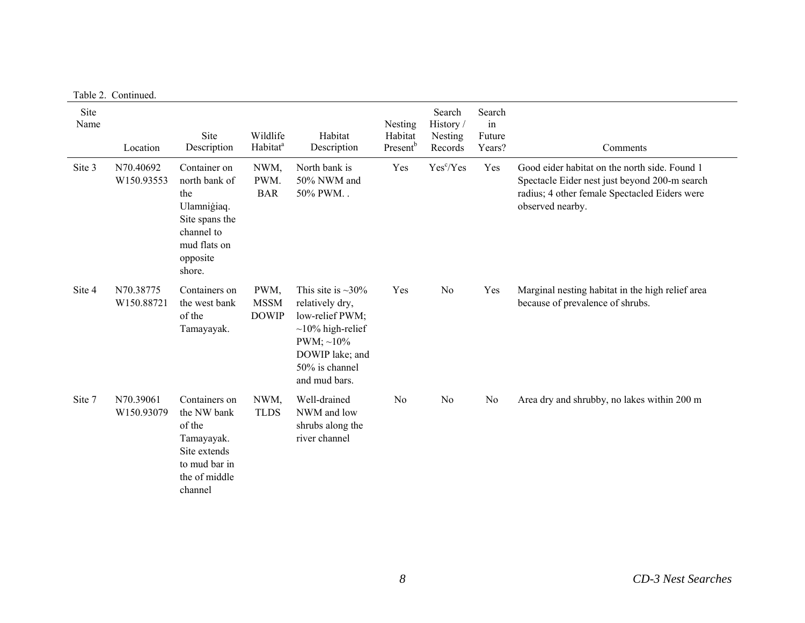| Site<br>Name | Location                | Site<br>Description                                                                                                       | Wildlife<br>Habitat <sup>a</sup>    | Habitat<br>Description                                                                                                                                           | Nesting<br>Habitat<br>Present <sup>b</sup> | Search<br>History /<br>Nesting<br>Records | Search<br>in<br>Future<br>Years? | Comments                                                                                                                                                            |
|--------------|-------------------------|---------------------------------------------------------------------------------------------------------------------------|-------------------------------------|------------------------------------------------------------------------------------------------------------------------------------------------------------------|--------------------------------------------|-------------------------------------------|----------------------------------|---------------------------------------------------------------------------------------------------------------------------------------------------------------------|
| Site 3       | N70.40692<br>W150.93553 | Container on<br>north bank of<br>the<br>Ulamniğiaq.<br>Site spans the<br>channel to<br>mud flats on<br>opposite<br>shore. | NWM,<br>PWM.<br><b>BAR</b>          | North bank is<br>50% NWM and<br>50% PWM. .                                                                                                                       | Yes                                        | Yes <sup>c</sup> /Yes                     | Yes                              | Good eider habitat on the north side. Found 1<br>Spectacle Eider nest just beyond 200-m search<br>radius; 4 other female Spectacled Eiders were<br>observed nearby. |
| Site 4       | N70.38775<br>W150.88721 | Containers on<br>the west bank<br>of the<br>Tamayayak.                                                                    | PWM,<br><b>MSSM</b><br><b>DOWIP</b> | This site is $\sim$ 30%<br>relatively dry,<br>low-relief PWM;<br>$\sim$ 10% high-relief<br>PWM; $\sim$ 10%<br>DOWIP lake; and<br>50% is channel<br>and mud bars. | Yes                                        | No                                        | Yes                              | Marginal nesting habitat in the high relief area<br>because of prevalence of shrubs.                                                                                |
| Site 7       | N70.39061<br>W150.93079 | Containers on<br>the NW bank<br>of the<br>Tamayayak.<br>Site extends<br>to mud bar in<br>the of middle<br>channel         | NWM,<br><b>TLDS</b>                 | Well-drained<br>NWM and low<br>shrubs along the<br>river channel                                                                                                 | N <sub>0</sub>                             | N <sub>0</sub>                            | No                               | Area dry and shrubby, no lakes within 200 m                                                                                                                         |

Table 2. Continued.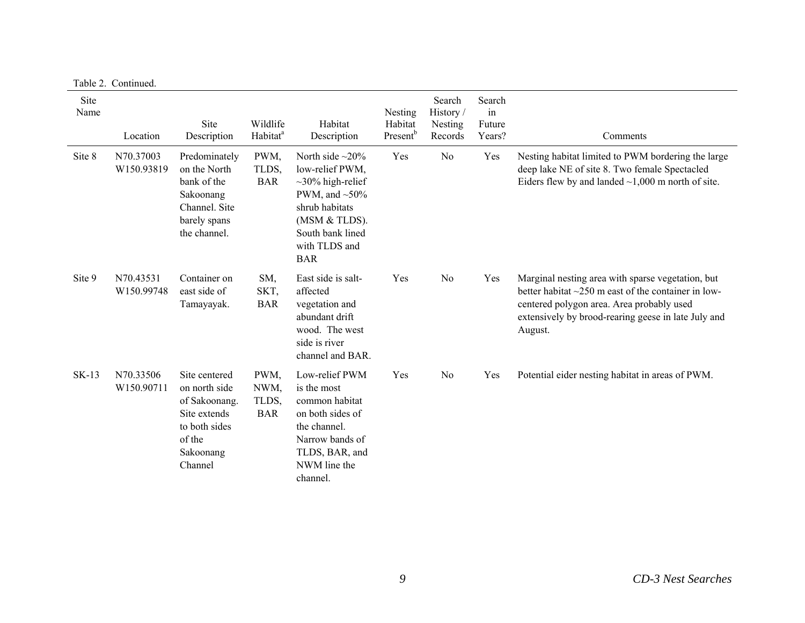|              | Table 2. Continued.     |                                                                                                                    |                                     |                                                                                                                                                                                  |                                                   |                                          |                                  |                                                                                                                                                                                                                               |
|--------------|-------------------------|--------------------------------------------------------------------------------------------------------------------|-------------------------------------|----------------------------------------------------------------------------------------------------------------------------------------------------------------------------------|---------------------------------------------------|------------------------------------------|----------------------------------|-------------------------------------------------------------------------------------------------------------------------------------------------------------------------------------------------------------------------------|
| Site<br>Name | Location                | Site<br>Description                                                                                                | Wildlife<br>Habitat <sup>a</sup>    | Habitat<br>Description                                                                                                                                                           | <b>Nesting</b><br>Habitat<br>Present <sup>b</sup> | Search<br>History/<br>Nesting<br>Records | Search<br>in<br>Future<br>Years? | Comments                                                                                                                                                                                                                      |
| Site 8       | N70.37003<br>W150.93819 | Predominately<br>on the North<br>bank of the<br>Sakoonang<br>Channel. Site<br>barely spans<br>the channel.         | PWM,<br>TLDS,<br><b>BAR</b>         | North side $\sim$ 20%<br>low-relief PWM,<br>$\sim$ 30% high-relief<br>PWM, and $\sim 50\%$<br>shrub habitats<br>(MSM & TLDS).<br>South bank lined<br>with TLDS and<br><b>BAR</b> | Yes                                               | N <sub>o</sub>                           | Yes                              | Nesting habitat limited to PWM bordering the large<br>deep lake NE of site 8. Two female Spectacled<br>Eiders flew by and landed $\sim$ 1,000 m north of site.                                                                |
| Site 9       | N70.43531<br>W150.99748 | Container on<br>east side of<br>Tamayayak.                                                                         | SM,<br>SKT,<br><b>BAR</b>           | East side is salt-<br>affected<br>vegetation and<br>abundant drift<br>wood. The west<br>side is river<br>channel and BAR.                                                        | Yes                                               | N <sub>0</sub>                           | Yes                              | Marginal nesting area with sparse vegetation, but<br>better habitat $\sim$ 250 m east of the container in low-<br>centered polygon area. Area probably used<br>extensively by brood-rearing geese in late July and<br>August. |
| <b>SK-13</b> | N70.33506<br>W150.90711 | Site centered<br>on north side<br>of Sakoonang.<br>Site extends<br>to both sides<br>of the<br>Sakoonang<br>Channel | PWM,<br>NWM,<br>TLDS,<br><b>BAR</b> | Low-relief PWM<br>is the most<br>common habitat<br>on both sides of<br>the channel.<br>Narrow bands of<br>TLDS, BAR, and<br>NWM line the<br>channel.                             | Yes                                               | No                                       | Yes                              | Potential eider nesting habitat in areas of PWM.                                                                                                                                                                              |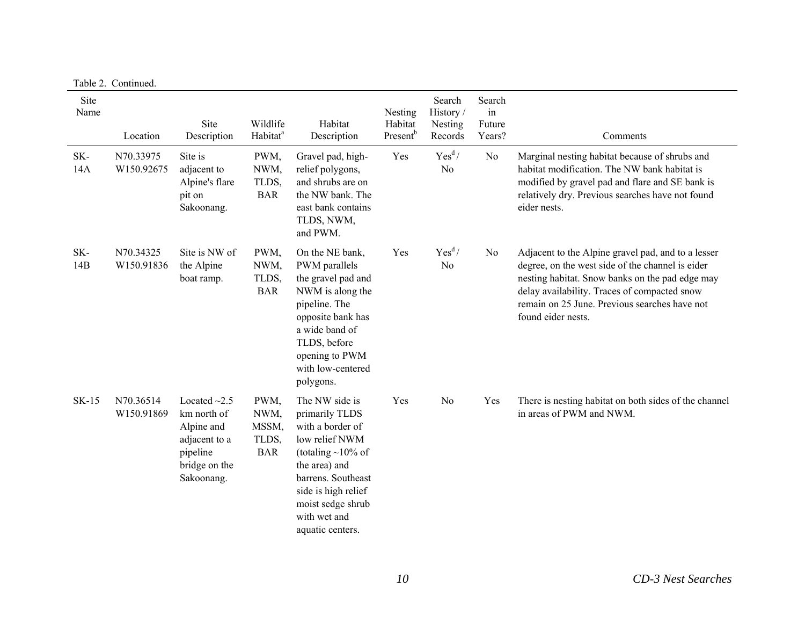|              | $1$ avit $2.$ Continued. |                                                                                                             |                                              |                                                                                                                                                                                                                          |                                            |                                          |                                  |                                                                                                                                                                                                                                                                                  |
|--------------|--------------------------|-------------------------------------------------------------------------------------------------------------|----------------------------------------------|--------------------------------------------------------------------------------------------------------------------------------------------------------------------------------------------------------------------------|--------------------------------------------|------------------------------------------|----------------------------------|----------------------------------------------------------------------------------------------------------------------------------------------------------------------------------------------------------------------------------------------------------------------------------|
| Site<br>Name | Location                 | Site<br>Description                                                                                         | Wildlife<br>Habitat <sup>a</sup>             | Habitat<br>Description                                                                                                                                                                                                   | Nesting<br>Habitat<br>Present <sup>b</sup> | Search<br>History/<br>Nesting<br>Records | Search<br>in<br>Future<br>Years? | Comments                                                                                                                                                                                                                                                                         |
| SK-<br>14A   | N70.33975<br>W150.92675  | Site is<br>adjacent to<br>Alpine's flare<br>pit on<br>Sakoonang.                                            | PWM,<br>NWM,<br>TLDS,<br><b>BAR</b>          | Gravel pad, high-<br>relief polygons,<br>and shrubs are on<br>the NW bank. The<br>east bank contains<br>TLDS, NWM,<br>and PWM.                                                                                           | Yes                                        | Yes <sup>d</sup> /<br>N <sub>o</sub>     | No                               | Marginal nesting habitat because of shrubs and<br>habitat modification. The NW bank habitat is<br>modified by gravel pad and flare and SE bank is<br>relatively dry. Previous searches have not found<br>eider nests.                                                            |
| SK-<br>14B   | N70.34325<br>W150.91836  | Site is NW of<br>the Alpine<br>boat ramp.                                                                   | PWM,<br>NWM,<br>TLDS,<br><b>BAR</b>          | On the NE bank,<br>PWM parallels<br>the gravel pad and<br>NWM is along the<br>pipeline. The<br>opposite bank has<br>a wide band of<br>TLDS, before<br>opening to PWM<br>with low-centered<br>polygons.                   | Yes                                        | Yes <sup>d</sup> /<br>N <sub>0</sub>     | No                               | Adjacent to the Alpine gravel pad, and to a lesser<br>degree, on the west side of the channel is eider<br>nesting habitat. Snow banks on the pad edge may<br>delay availability. Traces of compacted snow<br>remain on 25 June. Previous searches have not<br>found eider nests. |
| <b>SK-15</b> | N70.36514<br>W150.91869  | Located $\sim$ 2.5<br>km north of<br>Alpine and<br>adjacent to a<br>pipeline<br>bridge on the<br>Sakoonang. | PWM,<br>NWM,<br>MSSM,<br>TLDS,<br><b>BAR</b> | The NW side is<br>primarily TLDS<br>with a border of<br>low relief NWM<br>(totaling $\sim$ 10% of<br>the area) and<br>barrens. Southeast<br>side is high relief<br>moist sedge shrub<br>with wet and<br>aquatic centers. | Yes                                        | No                                       | Yes                              | There is nesting habitat on both sides of the channel<br>in areas of PWM and NWM.                                                                                                                                                                                                |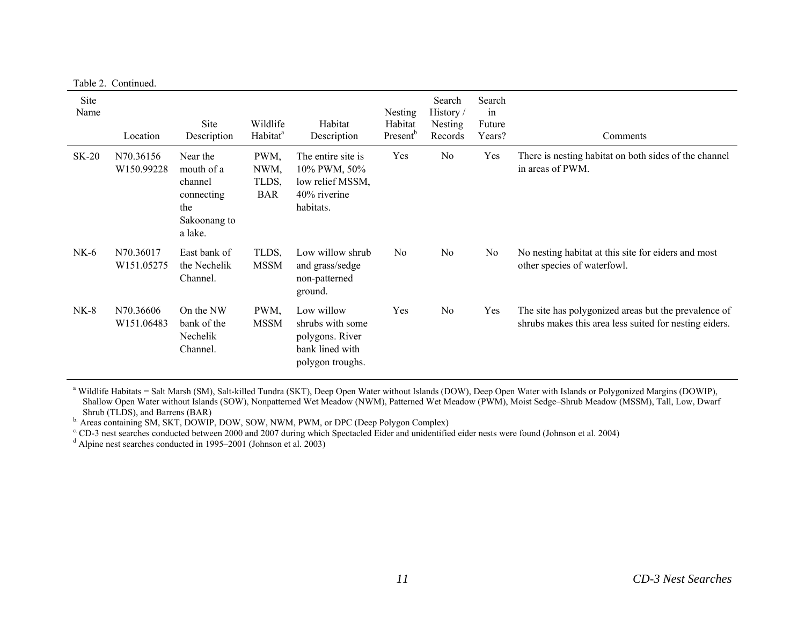|              | Table 2. Continued.     |                                                                                   |                                     |                                                                                          |                                            |                                           |                                  |                                                                                                                |
|--------------|-------------------------|-----------------------------------------------------------------------------------|-------------------------------------|------------------------------------------------------------------------------------------|--------------------------------------------|-------------------------------------------|----------------------------------|----------------------------------------------------------------------------------------------------------------|
| Site<br>Name | Location                | Site<br>Description                                                               | Wildlife<br>Habitat <sup>a</sup>    | Habitat<br>Description                                                                   | Nesting<br>Habitat<br>Present <sup>b</sup> | Search<br>History /<br>Nesting<br>Records | Search<br>in<br>Future<br>Years? | Comments                                                                                                       |
| $SK-20$      | N70.36156<br>W150.99228 | Near the<br>mouth of a<br>channel<br>connecting<br>the<br>Sakoonang to<br>a lake. | PWM,<br>NWM,<br>TLDS,<br><b>BAR</b> | The entire site is<br>10% PWM, 50%<br>low relief MSSM,<br>$40\%$ riverine<br>habitats.   | Yes                                        | No                                        | Yes                              | There is nesting habitat on both sides of the channel<br>in areas of PWM.                                      |
| $NK-6$       | N70.36017<br>W151.05275 | East bank of<br>the Nechelik<br>Channel.                                          | TLDS,<br><b>MSSM</b>                | Low willow shrub<br>and grass/sedge<br>non-patterned<br>ground.                          | No                                         | No                                        | No.                              | No nesting habitat at this site for eiders and most<br>other species of waterfowl.                             |
| $NK-8$       | N70.36606<br>W151.06483 | On the NW<br>bank of the<br>Nechelik<br>Channel.                                  | PWM,<br><b>MSSM</b>                 | Low willow<br>shrubs with some<br>polygons. River<br>bank lined with<br>polygon troughs. | Yes                                        | N <sub>0</sub>                            | Yes                              | The site has polygonized areas but the prevalence of<br>shrubs makes this area less suited for nesting eiders. |

<sup>a</sup> Wildlife Habitats = Salt Marsh (SM), Salt-killed Tundra (SKT), Deep Open Water without Islands (DOW), Deep Open Water with Islands or Polygonized Margins (DOWIP), Shallow Open Water without Islands (SOW), Nonpatterned Wet Meadow (NWM), Patterned Wet Meadow (PWM), Moist Sedge–Shrub Meadow (MSSM), Tall, Low, Dwarf Shrub (TLDS), and Barrens (BAR)

b. Areas containing SM, SKT, DOWIP, DOW, SOW, NWM, PWM, or DPC (Deep Polygon Complex)

 $\rm{c}$  CD-3 nest searches conducted between 2000 and 2007 during which Spectacled Eider and unidentified eider nests were found (Johnson et al. 2004)

<sup>d</sup> Alpine nest searches conducted in 1995–2001 (Johnson et al. 2003)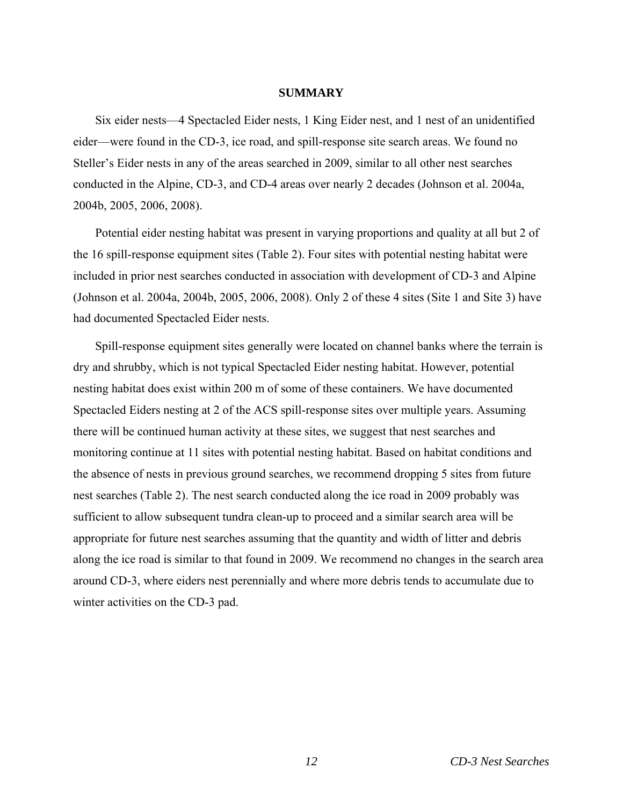### **SUMMARY**

Six eider nests—4 Spectacled Eider nests, 1 King Eider nest, and 1 nest of an unidentified eider—were found in the CD-3, ice road, and spill-response site search areas. We found no Steller's Eider nests in any of the areas searched in 2009, similar to all other nest searches conducted in the Alpine, CD-3, and CD-4 areas over nearly 2 decades (Johnson et al. 2004a, 2004b, 2005, 2006, 2008).

Potential eider nesting habitat was present in varying proportions and quality at all but 2 of the 16 spill-response equipment sites (Table 2). Four sites with potential nesting habitat were included in prior nest searches conducted in association with development of CD-3 and Alpine (Johnson et al. 2004a, 2004b, 2005, 2006, 2008). Only 2 of these 4 sites (Site 1 and Site 3) have had documented Spectacled Eider nests.

Spill-response equipment sites generally were located on channel banks where the terrain is dry and shrubby, which is not typical Spectacled Eider nesting habitat. However, potential nesting habitat does exist within 200 m of some of these containers. We have documented Spectacled Eiders nesting at 2 of the ACS spill-response sites over multiple years. Assuming there will be continued human activity at these sites, we suggest that nest searches and monitoring continue at 11 sites with potential nesting habitat. Based on habitat conditions and the absence of nests in previous ground searches, we recommend dropping 5 sites from future nest searches (Table 2). The nest search conducted along the ice road in 2009 probably was sufficient to allow subsequent tundra clean-up to proceed and a similar search area will be appropriate for future nest searches assuming that the quantity and width of litter and debris along the ice road is similar to that found in 2009. We recommend no changes in the search area around CD-3, where eiders nest perennially and where more debris tends to accumulate due to winter activities on the CD-3 pad.